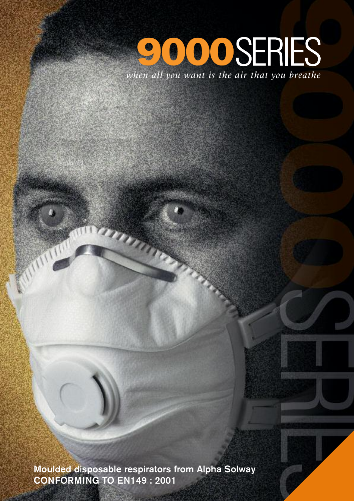# *when all you want is the air that you breathe*

**Moulded disposable respirators from Alpha Solway CONFORMING TO EN149 : 2001**

 $\mathcal{P}_{\mathcal{P}_{\mathcal{A}}}$